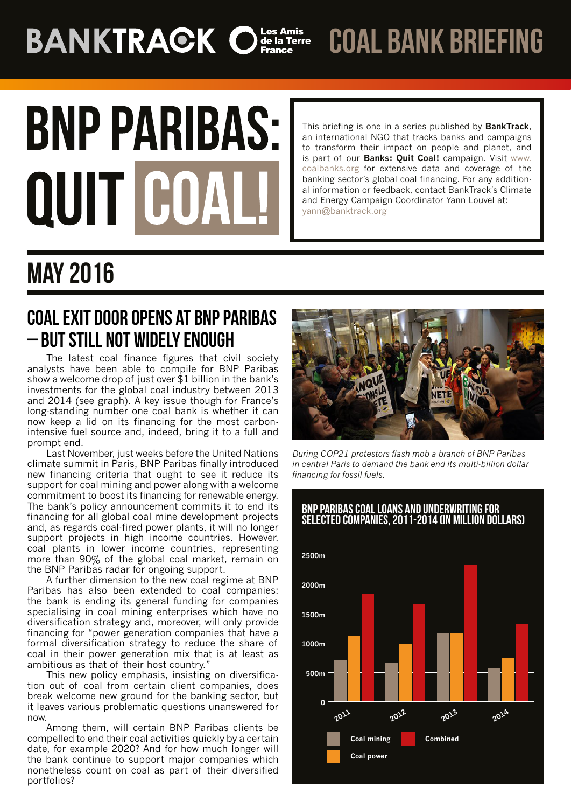# **BANKTRACK Of Solution Expansion Set of The Designation Critical Artists**

coal bank briefing

# **BNP PARIBAS: QUIT C**

This briefing is one in a series published by **BankTrack**, an international NGO that tracks banks and campaigns to transform their impact on people and planet, and is part of our **Banks: Quit Coal!** campaign. Visit [www.](http://www.coalbanks.org/) [coalbanks.org](http://www.coalbanks.org/) for extensive data and coverage of the banking sector's global coal financing. For any additional information or feedback, contact BankTrack's Climate and Energy Campaign Coordinator Yann Louvel at: yann@banktrack.org

## May 2016

### COALEXIT DOOR OPENS AT BNP PARIBAS – BUT STILL NOT WIDELY ENOUGH

The latest coal finance figures that civil society analysts have been able to compile for BNP Paribas show a welcome drop of just over \$1 billion in the bank's investments for the global coal industry between 2013 and 2014 (see graph). A key issue though for France's long-standing number one coal bank is whether it can now keep a lid on its financing for the most carbonintensive fuel source and, indeed, bring it to a full and prompt end.

Last November, just weeks before the United Nations climate summit in Paris, BNP Paribas finally introduced new financing criteria that ought to see it reduce its support for coal mining and power along with a welcome commitment to boost its financing for renewable energy. The bank's policy announcement commits it to end its financing for all global coal mine development projects and, as regards coal-fired power plants, it will no longer support projects in high income countries. However, coal plants in lower income countries, representing more than 90% of the global coal market, remain on the BNP Paribas radar for ongoing support.

A further dimension to the new coal regime at BNP Paribas has also been extended to coal companies: the bank is ending its general funding for companies specialising in coal mining enterprises which have no diversification strategy and, moreover, will only provide financing for "power generation companies that have a formal diversification strategy to reduce the share of coal in their power generation mix that is at least as ambitious as that of their host country."

This new policy emphasis, insisting on diversification out of coal from certain client companies, does break welcome new ground for the banking sector, but it leaves various problematic questions unanswered for now.

Among them, will certain BNP Paribas clients be compelled to end their coal activities quickly by a certain date, for example 2020? And for how much longer will the bank continue to support major companies which nonetheless count on coal as part of their diversified portfolios?



*During COP21 protestors flash mob a branch of BNP Paribas in central Paris to demand the bank end its multi-billion dollar financing for fossil fuels.*



#### BNP paribas coal loans and underwriting for selected companies, 2011-2014 (in million dollars)